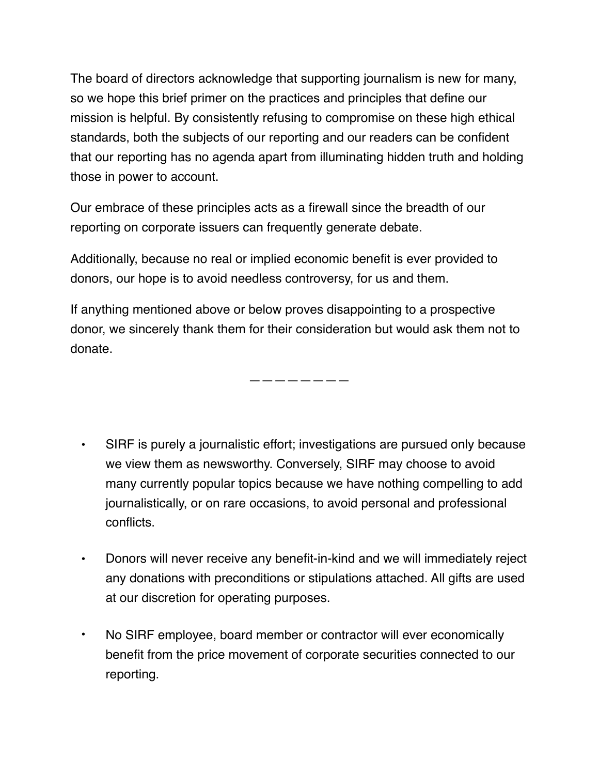The board of directors acknowledge that supporting journalism is new for many, so we hope this brief primer on the practices and principles that define our mission is helpful. By consistently refusing to compromise on these high ethical standards, both the subjects of our reporting and our readers can be confident that our reporting has no agenda apart from illuminating hidden truth and holding those in power to account.

Our embrace of these principles acts as a firewall since the breadth of our reporting on corporate issuers can frequently generate debate.

Additionally, because no real or implied economic benefit is ever provided to donors, our hope is to avoid needless controversy, for us and them.

If anything mentioned above or below proves disappointing to a prospective donor, we sincerely thank them for their consideration but would ask them not to donate.

————————

- SIRF is purely a journalistic effort; investigations are pursued only because we view them as newsworthy. Conversely, SIRF may choose to avoid many currently popular topics because we have nothing compelling to add journalistically, or on rare occasions, to avoid personal and professional conflicts.
- Donors will never receive any benefit-in-kind and we will immediately reject any donations with preconditions or stipulations attached. All gifts are used at our discretion for operating purposes.
- No SIRF employee, board member or contractor will ever economically benefit from the price movement of corporate securities connected to our reporting.